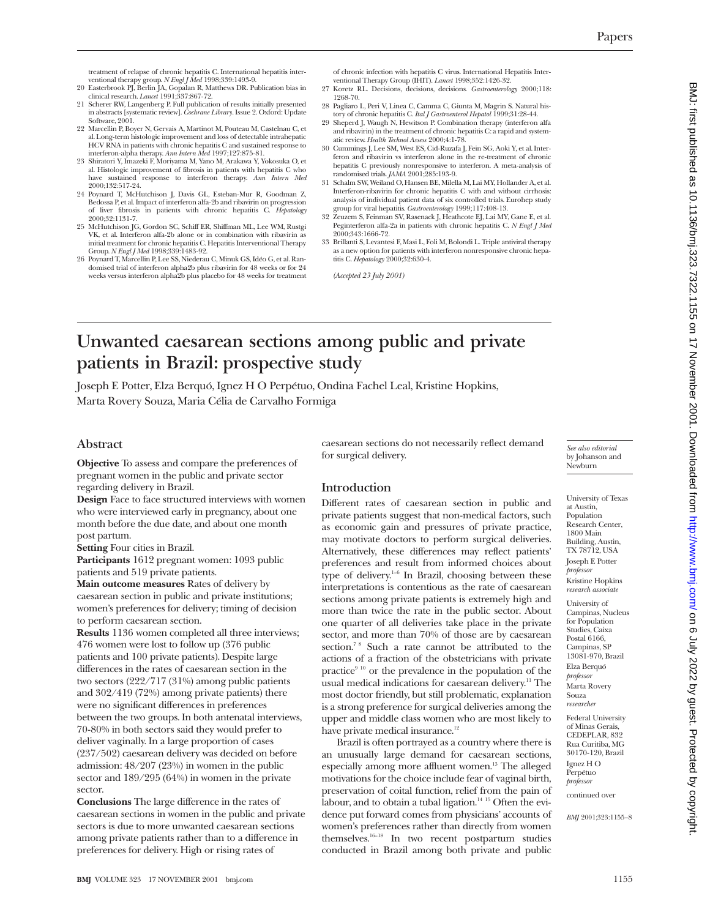treatment of relapse of chronic hepatitis C. International hepatitis inter-ventional therapy group. *N Engl J Med* 1998;339:1493-9. 20 Easterbrook PJ, Berlin JA, Gopalan R, Matthews DR. Publication bias in

- clinical research. *Lancet* 1991;337:867-72. 21 Scherer RW, Langenberg P. Full publication of results initially presented
- in abstracts [systematic review]. *Cochrane Library*. Issue 2. Oxford: Update Software, 2001.
- 22 Marcellin P, Boyer N, Gervais A, Martinot M, Pouteau M, Castelnau C, et al. Long-term histologic improvement and loss of detectable intrahepatic HCV RNA in patients with chronic hepatitis C and sustained response to interferon-alpha therapy. *Ann Intern Med* 1997;127:875-81.
- 23 Shiratori Y, Imazeki F, Moriyama M, Yano M, Arakawa Y, Yokosuka O, et al. Histologic improvement of fibrosis in patients with hepatitis C who have sustained response to interferon therapy. *Ann Intern Med* 2000;132:517-24.
- 24 Poynard T, McHutchison J, Davis GL, Esteban-Mur R, Goodman Z, Bedossa P, et al. Impact of interferon alfa-2b and ribavirin on progression of liver fibrosis in patients with chronic hepatitis C. *Hepatology* 2000;32:1131-7.
- 25 McHutchison JG, Gordon SC, Schiff ER, Shiffman ML, Lee WM, Rustgi VK, et al. Interferon alfa-2b alone or in combination with ribavirin as initial treatment for chronic hepatitis C. Hepatitis Interventional Therapy Group. *N Engl J Med* 1998;339:1483-92.
- 26 Poynard T, Marcellin P, Lee SS, Niederau C, Minuk GS, Idéo G, et al. Randomised trial of interferon alpha2b plus ribavirin for 48 weeks or for 24 weeks versus interferon alpha2b plus placebo for 48 weeks for treatment

of chronic infection with hepatitis C virus. International Hepatitis Interventional Therapy Group (IHIT). *Lancet* 1998;352:1426-32.

- 27 Koretz RL. Decisions, decisions, decisions. *Gastroenterology* 2000;118: 1268-70.
- 28 Pagliaro L, Peri V, Linea C, Camma C, Giunta M, Magrin S. Natural his-tory of chronic hepatitis C. *Ital J Gastroenterol Hepatol* 1999;31:28-44. 29 Sheperd J, Waugh N, Hewitson P. Combination therapy (interferon alfa
- and ribavirin) in the treatment of chronic hepatitis C: a rapid and systematic review. *Health Technol Assess* 2000;4:1-78.
- 30 Cummings J, Lee SM, West ES, Cid-Ruzafa J, Fein SG, Aoki Y, et al. Interferon and ribavirin vs interferon alone in the re-treatment of chronic hepatitis C previously nonresponsive to interferon. A meta-analysis of randomised trials. *JAMA* 2001;285:193-9.
- 31 Schalm SW, Weiland O, Hansen BE, Milella M, Lai MY, Hollander A, et al. Interferon-ribavirin for chronic hepatitis C with and without cirrhosis: analysis of individual patient data of six controlled trials. Eurohep study group for viral hepatitis. *Gastroenterology* 1999;117:408-13.
- 32 Zeuzem S, Feinman SV, Rasenack J, Heathcote EJ, Lai MY, Gane E, et al. Peginterferon alfa-2a in patients with chronic hepatitis C. *N Engl J Med* 2000;343:1666-72.
- 33 Brillanti S, Levantesi F, Masi L, Foli M, Bolondi L. Triple antiviral therapy as a new option for patients with interferon nonresponsive chronic hepatitis C. *Hepatology* 2000;32:630-4.

*(Accepted 23 July 2001)*

# **Unwanted caesarean sections among public and private patients in Brazil: prospective study**

Joseph E Potter, Elza Berquó, Ignez H O Perpétuo, Ondina Fachel Leal, Kristine Hopkins, Marta Rovery Souza, Maria Célia de Carvalho Formiga

## **Abstract**

**Objective** To assess and compare the preferences of pregnant women in the public and private sector regarding delivery in Brazil.

**Design** Face to face structured interviews with women who were interviewed early in pregnancy, about one month before the due date, and about one month post partum.

**Setting** Four cities in Brazil.

**Participants** 1612 pregnant women: 1093 public patients and 519 private patients.

**Main outcome measures** Rates of delivery by caesarean section in public and private institutions; women's preferences for delivery; timing of decision to perform caesarean section.

**Results** 1136 women completed all three interviews; 476 women were lost to follow up (376 public patients and 100 private patients). Despite large differences in the rates of caesarean section in the two sectors (222/717 (31%) among public patients and 302/419 (72%) among private patients) there were no significant differences in preferences between the two groups. In both antenatal interviews, 70-80% in both sectors said they would prefer to deliver vaginally. In a large proportion of cases (237/502) caesarean delivery was decided on before admission: 48/207 (23%) in women in the public sector and 189/295 (64%) in women in the private sector.

**Conclusions** The large difference in the rates of caesarean sections in women in the public and private sectors is due to more unwanted caesarean sections among private patients rather than to a difference in preferences for delivery. High or rising rates of

caesarean sections do not necessarily reflect demand for surgical delivery.

### **Introduction**

Different rates of caesarean section in public and private patients suggest that non-medical factors, such as economic gain and pressures of private practice, may motivate doctors to perform surgical deliveries. Alternatively, these differences may reflect patients' preferences and result from informed choices about type of delivery.<sup>1-6</sup> In Brazil, choosing between these interpretations is contentious as the rate of caesarean sections among private patients is extremely high and more than twice the rate in the public sector. About one quarter of all deliveries take place in the private sector, and more than 70% of those are by caesarean section.<sup>7 8</sup> Such a rate cannot be attributed to the actions of a fraction of the obstetricians with private practice $9^{10}$  or the prevalence in the population of the usual medical indications for caesarean delivery.<sup>11</sup> The most doctor friendly, but still problematic, explanation is a strong preference for surgical deliveries among the upper and middle class women who are most likely to have private medical insurance.<sup>12</sup>

Brazil is often portrayed as a country where there is an unusually large demand for caesarean sections, especially among more affluent women.<sup>13</sup> The alleged motivations for the choice include fear of vaginal birth, preservation of coital function, relief from the pain of labour, and to obtain a tubal ligation.<sup>14 15</sup> Often the evidence put forward comes from physicians' accounts of women's preferences rather than directly from women themselves.16–18 In two recent postpartum studies conducted in Brazil among both private and public

*See also editorial* by Johanson and Newburn

University of Texas at Austin, Population Research Center, 1800 Main Building, Austin, TX 78712, USA Joseph E Potter *professor* Kristine Hopkins *research associate*

University of Campinas, Nucleus for Population Studies, Caixa Postal 6166, Campinas, SP 13081-970, Brazil Elza Berquó *professor* Marta Rovery Souza *researcher*

Federal University of Minas Gerais, CEDEPLAR, 832 Rua Curitiba, MG 30170-120, Brazil Ignez H O Perpétuo *professor*

continued over

*BMJ* 2001;323:1155–8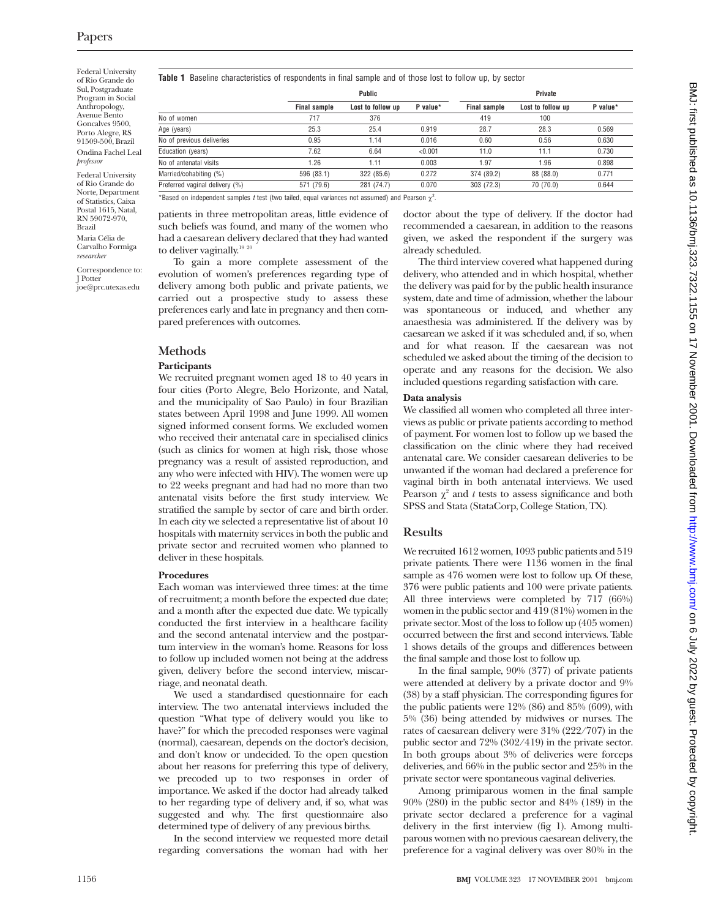Federal University of Rio Grande do Sul, Postgraduate Program in Social Anthropology, Avenue Bento Goncalves 9500, Porto Alegre, RS 91509-500, Brazil Ondina Fachel Leal *professor*

Federal University of Rio Grande do Norte, Department of Statistics, Caixa Postal 1615, Natal, RN 59072-970, Brazil

Maria Célia de Carvalho Formiga *researcher*

Correspondence to: J Potter joe@prc.utexas.edu

**Table 1** Baseline characteristics of respondents in final sample and of those lost to follow up, by sector

|                                | Public              |                   | Private  |                     |                   |          |
|--------------------------------|---------------------|-------------------|----------|---------------------|-------------------|----------|
|                                | <b>Final sample</b> | Lost to follow up | P value* | <b>Final sample</b> | Lost to follow up | P value* |
| No of women                    | 717                 | 376               |          | 419                 | 100               |          |
| Age (years)                    | 25.3                | 25.4              | 0.919    | 28.7                | 28.3              | 0.569    |
| No of previous deliveries      | 0.95                | 1.14              | 0.016    | 0.60                | 0.56              | 0.630    |
| Education (years)              | 7.62                | 6.64              | < 0.001  | 11.0                | 11.1              | 0.730    |
| No of antenatal visits         | 1.26                | 1.11              | 0.003    | 1.97                | 1.96              | 0.898    |
| Married/cohabiting (%)         | 596 (83.1)          | 322 (85.6)        | 0.272    | 374 (89.2)          | 88 (88.0)         | 0.771    |
| Preferred vaginal delivery (%) | 571 (79.6)          | 281 (74.7)        | 0.070    | 303 (72.3)          | 70 (70.0)         | 0.644    |

\*Based on independent samples t test (two tailed, equal variances not assumed) and Pearson  $\chi^2$ .

patients in three metropolitan areas, little evidence of such beliefs was found, and many of the women who had a caesarean delivery declared that they had wanted to deliver vaginally.<sup>19 20</sup>

To gain a more complete assessment of the evolution of women's preferences regarding type of delivery among both public and private patients, we carried out a prospective study to assess these preferences early and late in pregnancy and then compared preferences with outcomes.

# **Methods**

### **Participants**

We recruited pregnant women aged 18 to 40 years in four cities (Porto Alegre, Belo Horizonte, and Natal, and the municipality of Sao Paulo) in four Brazilian states between April 1998 and June 1999. All women signed informed consent forms. We excluded women who received their antenatal care in specialised clinics (such as clinics for women at high risk, those whose pregnancy was a result of assisted reproduction, and any who were infected with HIV). The women were up to 22 weeks pregnant and had had no more than two antenatal visits before the first study interview. We stratified the sample by sector of care and birth order. In each city we selected a representative list of about 10 hospitals with maternity services in both the public and private sector and recruited women who planned to deliver in these hospitals.

### **Procedures**

Each woman was interviewed three times: at the time of recruitment; a month before the expected due date; and a month after the expected due date. We typically conducted the first interview in a healthcare facility and the second antenatal interview and the postpartum interview in the woman's home. Reasons for loss to follow up included women not being at the address given, delivery before the second interview, miscarriage, and neonatal death.

We used a standardised questionnaire for each interview. The two antenatal interviews included the question "What type of delivery would you like to have?" for which the precoded responses were vaginal (normal), caesarean, depends on the doctor's decision, and don't know or undecided. To the open question about her reasons for preferring this type of delivery, we precoded up to two responses in order of importance. We asked if the doctor had already talked to her regarding type of delivery and, if so, what was suggested and why. The first questionnaire also determined type of delivery of any previous births.

In the second interview we requested more detail regarding conversations the woman had with her

doctor about the type of delivery. If the doctor had recommended a caesarean, in addition to the reasons given, we asked the respondent if the surgery was already scheduled.

The third interview covered what happened during delivery, who attended and in which hospital, whether the delivery was paid for by the public health insurance system, date and time of admission, whether the labour was spontaneous or induced, and whether any anaesthesia was administered. If the delivery was by caesarean we asked if it was scheduled and, if so, when and for what reason. If the caesarean was not scheduled we asked about the timing of the decision to operate and any reasons for the decision. We also included questions regarding satisfaction with care.

### **Data analysis**

We classified all women who completed all three interviews as public or private patients according to method of payment. For women lost to follow up we based the classification on the clinic where they had received antenatal care. We consider caesarean deliveries to be unwanted if the woman had declared a preference for vaginal birth in both antenatal interviews. We used Pearson  $\chi^2$  and *t* tests to assess significance and both SPSS and Stata (StataCorp, College Station, TX).

# **Results**

We recruited 1612 women, 1093 public patients and 519 private patients. There were 1136 women in the final sample as 476 women were lost to follow up. Of these, 376 were public patients and 100 were private patients. All three interviews were completed by 717 (66%) women in the public sector and 419 (81%) women in the private sector. Most of the loss to follow up (405 women) occurred between the first and second interviews. Table 1 shows details of the groups and differences between the final sample and those lost to follow up.

In the final sample, 90% (377) of private patients were attended at delivery by a private doctor and 9% (38) by a staff physician. The corresponding figures for the public patients were 12% (86) and 85% (609), with 5% (36) being attended by midwives or nurses. The rates of caesarean delivery were 31% (222/707) in the public sector and 72% (302/419) in the private sector. In both groups about 3% of deliveries were forceps deliveries, and 66% in the public sector and 25% in the private sector were spontaneous vaginal deliveries.

Among primiparous women in the final sample 90% (280) in the public sector and 84% (189) in the private sector declared a preference for a vaginal delivery in the first interview (fig 1). Among multiparous women with no previous caesarean delivery, the preference for a vaginal delivery was over 80% in the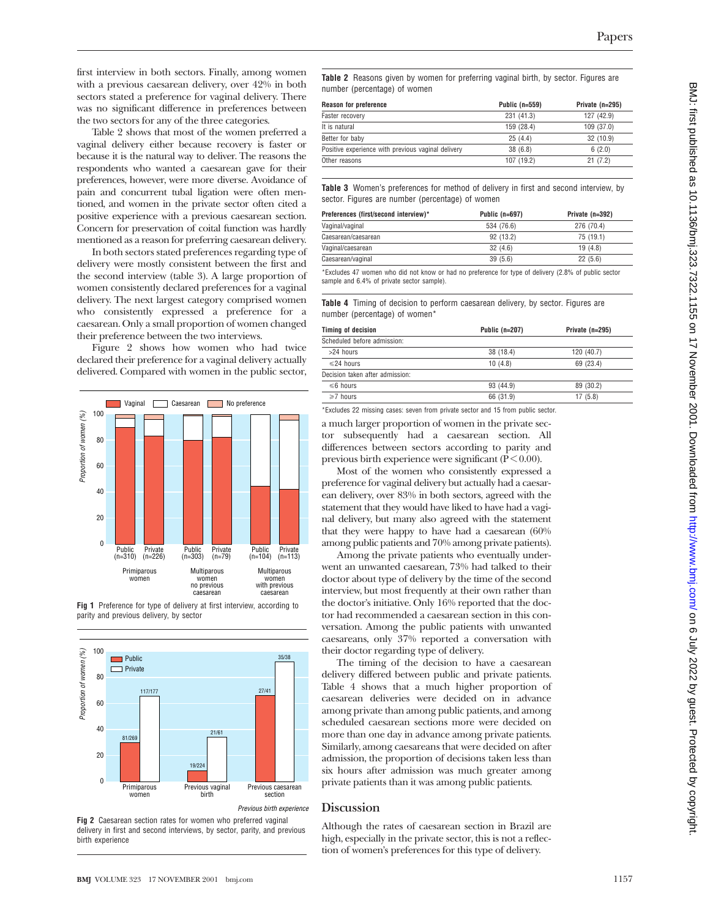first interview in both sectors. Finally, among women with a previous caesarean delivery, over 42% in both sectors stated a preference for vaginal delivery. There was no significant difference in preferences between the two sectors for any of the three categories.

Table 2 shows that most of the women preferred a vaginal delivery either because recovery is faster or because it is the natural way to deliver. The reasons the respondents who wanted a caesarean gave for their preferences, however, were more diverse. Avoidance of pain and concurrent tubal ligation were often mentioned, and women in the private sector often cited a positive experience with a previous caesarean section. Concern for preservation of coital function was hardly mentioned as a reason for preferring caesarean delivery.

In both sectors stated preferences regarding type of delivery were mostly consistent between the first and the second interview (table 3). A large proportion of women consistently declared preferences for a vaginal delivery. The next largest category comprised women who consistently expressed a preference for a caesarean. Only a small proportion of women changed their preference between the two interviews.

Figure 2 shows how women who had twice declared their preference for a vaginal delivery actually delivered. Compared with women in the public sector,







Previous birth experience

**Fig 2** Caesarean section rates for women who preferred vaginal delivery in first and second interviews, by sector, parity, and previous birth experience

**Table 2** Reasons given by women for preferring vaginal birth, by sector. Figures are number (percentage) of women

| <b>Reason for preference</b>                       | Public $(n=559)$ | Private $(n=295)$ |
|----------------------------------------------------|------------------|-------------------|
| Faster recovery                                    | 231 (41.3)       | 127 (42.9)        |
| It is natural                                      | 159 (28.4)       | 109 (37.0)        |
| Better for baby                                    | 25(4.4)          | 32 (10.9)         |
| Positive experience with previous vaginal delivery | 38(6.8)          | 6(2.0)            |
| Other reasons                                      | 107 (19.2)       | 21(7.2)           |

**Table 3** Women's preferences for method of delivery in first and second interview, by sector. Figures are number (percentage) of women

| Preferences (first/second interview)* | Public $(n=697)$ | Private $(n=392)$ |
|---------------------------------------|------------------|-------------------|
| Vaginal/vaginal                       | 534 (76.6)       | 276 (70.4)        |
| Caesarean/caesarean                   | 92 (13.2)        | 75 (19.1)         |
| Vaginal/caesarean                     | 32(4.6)          | 19(4.8)           |
| Caesarean/vaginal                     | 39(5.6)          | 22(5.6)           |
|                                       |                  |                   |

\*Excludes 47 women who did not know or had no preference for type of delivery (2.8% of public sector sample and 6.4% of private sector sample).

**Table 4** Timing of decision to perform caesarean delivery, by sector. Figures are number (percentage) of women\*

| Timing of decision              | Public $(n=207)$ | Private (n=295) |
|---------------------------------|------------------|-----------------|
| Scheduled before admission:     |                  |                 |
| $>24$ hours                     | 38 (18.4)        | 120 (40.7)      |
| $\leq$ 24 hours                 | 10(4.8)          | 69 (23.4)       |
| Decision taken after admission: |                  |                 |
| $\leq 6$ hours                  | 93 (44.9)        | 89 (30.2)       |
| $\geq 7$ hours                  | 66 (31.9)        | 17(5.8)         |
|                                 |                  |                 |

\*Excludes 22 missing cases: seven from private sector and 15 from public sector.

a much larger proportion of women in the private sector subsequently had a caesarean section. All differences between sectors according to parity and previous birth experience were significant ( $P < 0.00$ ).

Most of the women who consistently expressed a preference for vaginal delivery but actually had a caesarean delivery, over 83% in both sectors, agreed with the statement that they would have liked to have had a vaginal delivery, but many also agreed with the statement that they were happy to have had a caesarean (60% among public patients and 70% among private patients).

Among the private patients who eventually underwent an unwanted caesarean, 73% had talked to their doctor about type of delivery by the time of the second interview, but most frequently at their own rather than the doctor's initiative. Only 16% reported that the doctor had recommended a caesarean section in this conversation. Among the public patients with unwanted caesareans, only 37% reported a conversation with their doctor regarding type of delivery.

The timing of the decision to have a caesarean delivery differed between public and private patients. Table 4 shows that a much higher proportion of caesarean deliveries were decided on in advance among private than among public patients, and among scheduled caesarean sections more were decided on more than one day in advance among private patients. Similarly, among caesareans that were decided on after admission, the proportion of decisions taken less than six hours after admission was much greater among private patients than it was among public patients.

### **Discussion**

Although the rates of caesarean section in Brazil are high, especially in the private sector, this is not a reflection of women's preferences for this type of delivery.